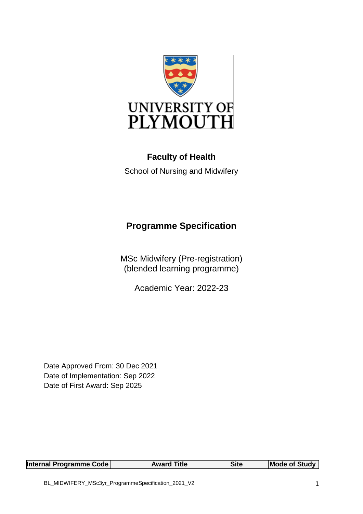

## **Faculty of Health**

School of Nursing and Midwifery

# **Programme Specification**

MSc Midwifery (Pre-registration) (blended learning programme)

Academic Year: 2022-23

Date Approved From: 30 Dec 2021 Date of Implementation: Sep 2022 Date of First Award: Sep 2025

| Internal Programme Code | <b>Award Title</b> | Site | <b>Mode of Study</b> |
|-------------------------|--------------------|------|----------------------|
|-------------------------|--------------------|------|----------------------|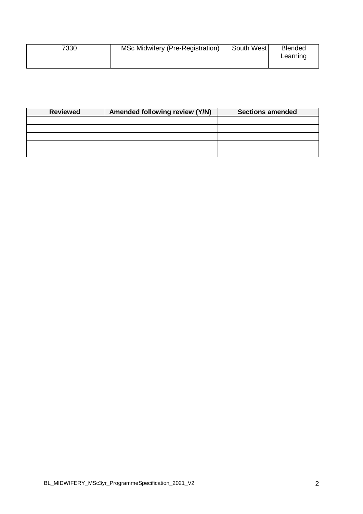| 7330 | MSc Midwifery (Pre-Registration) | <b>South West</b> | <b>Blended</b><br>Learning |
|------|----------------------------------|-------------------|----------------------------|
|      |                                  |                   |                            |

| <b>Reviewed</b> | Amended following review (Y/N) | <b>Sections amended</b> |
|-----------------|--------------------------------|-------------------------|
|                 |                                |                         |
|                 |                                |                         |
|                 |                                |                         |
|                 |                                |                         |
|                 |                                |                         |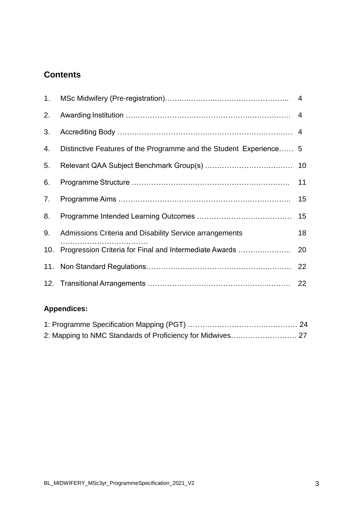## **Contents**

| 1. |                                                                    |    |
|----|--------------------------------------------------------------------|----|
| 2. |                                                                    |    |
| 3. |                                                                    |    |
| 4. | Distinctive Features of the Programme and the Student Experience 5 |    |
| 5. |                                                                    |    |
| 6. |                                                                    |    |
| 7. |                                                                    |    |
| 8. |                                                                    |    |
| 9. | Admissions Criteria and Disability Service arrangements            | 18 |
|    | 10. Progression Criteria for Final and Intermediate Awards         | 20 |
|    |                                                                    | 22 |
|    |                                                                    |    |

## **Appendices:**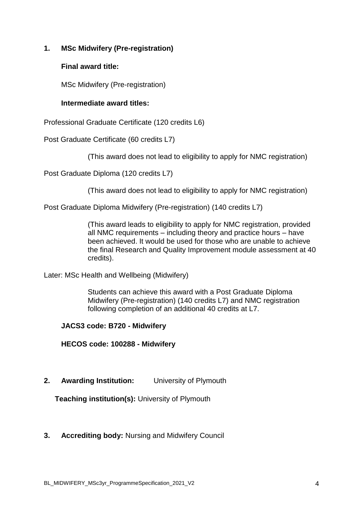## **1. MSc Midwifery (Pre-registration)**

#### **Final award title:**

MSc Midwifery (Pre-registration)

#### **Intermediate award titles:**

Professional Graduate Certificate (120 credits L6)

Post Graduate Certificate (60 credits L7)

(This award does not lead to eligibility to apply for NMC registration)

Post Graduate Diploma (120 credits L7)

(This award does not lead to eligibility to apply for NMC registration)

Post Graduate Diploma Midwifery (Pre-registration) (140 credits L7)

(This award leads to eligibility to apply for NMC registration, provided all NMC requirements – including theory and practice hours – have been achieved. It would be used for those who are unable to achieve the final Research and Quality Improvement module assessment at 40 credits).

Later: MSc Health and Wellbeing (Midwifery)

Students can achieve this award with a Post Graduate Diploma Midwifery (Pre-registration) (140 credits L7) and NMC registration following completion of an additional 40 credits at L7.

#### **JACS3 code: B720 - Midwifery**

**HECOS code: 100288 - Midwifery**

**2. Awarding Institution:** University of Plymouth

**Teaching institution(s):** University of Plymouth

#### **3. Accrediting body:** Nursing and Midwifery Council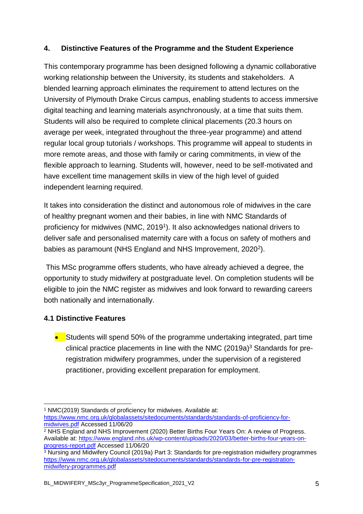## **4. Distinctive Features of the Programme and the Student Experience**

This contemporary programme has been designed following a dynamic collaborative working relationship between the University, its students and stakeholders. A blended learning approach eliminates the requirement to attend lectures on the University of Plymouth Drake Circus campus, enabling students to access immersive digital teaching and learning materials asynchronously, at a time that suits them. Students will also be required to complete clinical placements (20.3 hours on average per week, integrated throughout the three-year programme) and attend regular local group tutorials / workshops. This programme will appeal to students in more remote areas, and those with family or caring commitments, in view of the flexible approach to learning. Students will, however, need to be self-motivated and have excellent time management skills in view of the high level of guided independent learning required.

It takes into consideration the distinct and autonomous role of midwives in the care of healthy pregnant women and their babies, in line with NMC Standards of proficiency for midwives (NMC, 2019<sup>1</sup>). It also acknowledges national drivers to deliver safe and personalised maternity care with a focus on safety of mothers and babies as paramount (NHS England and NHS Improvement, 2020<sup>2</sup>).

This MSc programme offers students, who have already achieved a degree, the opportunity to study midwifery at postgraduate level. On completion students will be eligible to join the NMC register as midwives and look forward to rewarding careers both nationally and internationally.

## **4.1 Distinctive Features**

**Students will spend 50% of the programme undertaking integrated, part time** clinical practice placements in line with the NMC  $(2019a)^3$  Standards for preregistration midwifery programmes, under the supervision of a registered practitioner, providing excellent preparation for employment.

<sup>-</sup><sup>1</sup> NMC(2019) Standards of proficiency for midwives. Available at:

[https://www.nmc.org.uk/globalassets/sitedocuments/standards/standards-of-proficiency-for](https://www.nmc.org.uk/globalassets/sitedocuments/standards/standards-of-proficiency-for-midwives.pdf)[midwives.pdf](https://www.nmc.org.uk/globalassets/sitedocuments/standards/standards-of-proficiency-for-midwives.pdf) Accessed 11/06/20

<sup>&</sup>lt;sup>2</sup> NHS England and NHS Improvement (2020) Better Births Four Years On: A review of Progress. Available at: [https://www.england.nhs.uk/wp-content/uploads/2020/03/better-births-four-years-on](https://www.england.nhs.uk/wp-content/uploads/2020/03/better-births-four-years-on-progress-report.pdf)[progress-report.pdf](https://www.england.nhs.uk/wp-content/uploads/2020/03/better-births-four-years-on-progress-report.pdf) Accessed 11/06/20

<sup>&</sup>lt;sup>3</sup> Nursing and Midwifery Council (2019a) Part 3: Standards for pre-registration midwifery programmes [https://www.nmc.org.uk/globalassets/sitedocuments/standards/standards-for-pre-registration](https://www.nmc.org.uk/globalassets/sitedocuments/standards/standards-for-pre-registration-midwifery-programmes.pdf)[midwifery-programmes.pdf](https://www.nmc.org.uk/globalassets/sitedocuments/standards/standards-for-pre-registration-midwifery-programmes.pdf)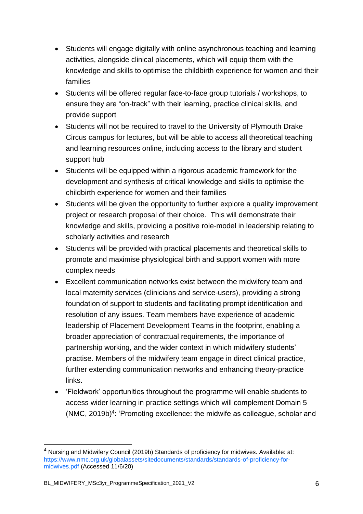- Students will engage digitally with online asynchronous teaching and learning activities, alongside clinical placements, which will equip them with the knowledge and skills to optimise the childbirth experience for women and their families
- Students will be offered regular face-to-face group tutorials / workshops, to ensure they are "on-track" with their learning, practice clinical skills, and provide support
- Students will not be required to travel to the University of Plymouth Drake Circus campus for lectures, but will be able to access all theoretical teaching and learning resources online, including access to the library and student support hub
- Students will be equipped within a rigorous academic framework for the development and synthesis of critical knowledge and skills to optimise the childbirth experience for women and their families
- Students will be given the opportunity to further explore a quality improvement project or research proposal of their choice. This will demonstrate their knowledge and skills, providing a positive role-model in leadership relating to scholarly activities and research
- Students will be provided with practical placements and theoretical skills to promote and maximise physiological birth and support women with more complex needs
- Excellent communication networks exist between the midwifery team and local maternity services (clinicians and service-users), providing a strong foundation of support to students and facilitating prompt identification and resolution of any issues. Team members have experience of academic leadership of Placement Development Teams in the footprint, enabling a broader appreciation of contractual requirements, the importance of partnership working, and the wider context in which midwifery students' practise. Members of the midwifery team engage in direct clinical practice, further extending communication networks and enhancing theory-practice links.
- 'Fieldwork' opportunities throughout the programme will enable students to access wider learning in practice settings which will complement Domain 5 (NMC, 2019b)<sup>4</sup>: 'Promoting excellence: the midwife as colleague, scholar and

-

 $4$  Nursing and Midwifery Council (2019b) Standards of proficiency for midwives. Available: at: https://www.nmc.org.uk/globalassets/sitedocuments/standards/standards-of-proficiency-formidwives.pdf (Accessed 11/6/20)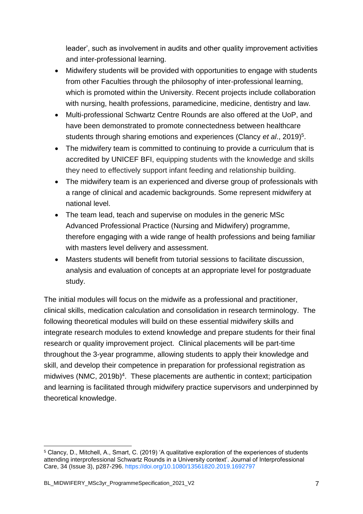leader', such as involvement in audits and other quality improvement activities and inter-professional learning.

- Midwifery students will be provided with opportunities to engage with students from other Faculties through the philosophy of inter-professional learning, which is promoted within the University. Recent projects include collaboration with nursing, health professions, paramedicine, medicine, dentistry and law.
- Multi-professional Schwartz Centre Rounds are also offered at the UoP, and have been demonstrated to promote connectedness between healthcare students through sharing emotions and experiences (Clancy *et al.*, 2019)<sup>5</sup>.
- The midwifery team is committed to continuing to provide a curriculum that is accredited by UNICEF BFI, equipping students with the knowledge and skills they need to effectively support infant feeding and relationship building.
- The midwifery team is an experienced and diverse group of professionals with a range of clinical and academic backgrounds. Some represent midwifery at national level.
- The team lead, teach and supervise on modules in the generic MSc Advanced Professional Practice (Nursing and Midwifery) programme, therefore engaging with a wide range of health professions and being familiar with masters level delivery and assessment.
- Masters students will benefit from tutorial sessions to facilitate discussion, analysis and evaluation of concepts at an appropriate level for postgraduate study.

The initial modules will focus on the midwife as a professional and practitioner, clinical skills, medication calculation and consolidation in research terminology. The following theoretical modules will build on these essential midwifery skills and integrate research modules to extend knowledge and prepare students for their final research or quality improvement project. Clinical placements will be part-time throughout the 3-year programme, allowing students to apply their knowledge and skill, and develop their competence in preparation for professional registration as midwives (NMC, 2019b) 4 . These placements are authentic in context; participation and learning is facilitated through midwifery practice supervisors and underpinned by theoretical knowledge.

<sup>-</sup><sup>5</sup> Clancy, D., Mitchell, A., Smart, C. (2019) 'A qualitative exploration of the experiences of students attending interprofessional Schwartz Rounds in a University context'. Journal of Interprofessional Care, 34 (Issue 3), p287-296. https://doi.org/10.1080/13561820.2019.1692797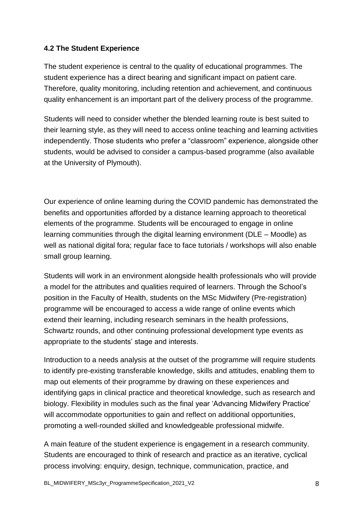## **4.2 The Student Experience**

The student experience is central to the quality of educational programmes. The student experience has a direct bearing and significant impact on patient care. Therefore, quality monitoring, including retention and achievement, and continuous quality enhancement is an important part of the delivery process of the programme.

Students will need to consider whether the blended learning route is best suited to their learning style, as they will need to access online teaching and learning activities independently. Those students who prefer a "classroom" experience, alongside other students, would be advised to consider a campus-based programme (also available at the University of Plymouth).

Our experience of online learning during the COVID pandemic has demonstrated the benefits and opportunities afforded by a distance learning approach to theoretical elements of the programme. Students will be encouraged to engage in online learning communities through the digital learning environment (DLE – Moodle) as well as national digital fora; regular face to face tutorials / workshops will also enable small group learning.

Students will work in an environment alongside health professionals who will provide a model for the attributes and qualities required of learners. Through the School's position in the Faculty of Health, students on the MSc Midwifery (Pre-registration) programme will be encouraged to access a wide range of online events which extend their learning, including research seminars in the health professions, Schwartz rounds, and other continuing professional development type events as appropriate to the students' stage and interests.

Introduction to a needs analysis at the outset of the programme will require students to identify pre-existing transferable knowledge, skills and attitudes, enabling them to map out elements of their programme by drawing on these experiences and identifying gaps in clinical practice and theoretical knowledge, such as research and biology. Flexibility in modules such as the final year 'Advancing Midwifery Practice' will accommodate opportunities to gain and reflect on additional opportunities, promoting a well-rounded skilled and knowledgeable professional midwife.

A main feature of the student experience is engagement in a research community. Students are encouraged to think of research and practice as an iterative, cyclical process involving: enquiry, design, technique, communication, practice, and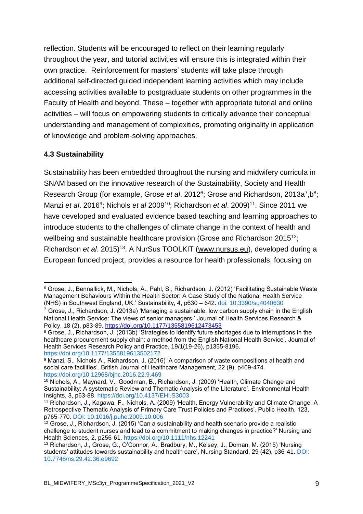reflection. Students will be encouraged to reflect on their learning regularly throughout the year, and tutorial activities will ensure this is integrated within their own practice. Reinforcement for masters' students will take place through additional self-directed guided independent learning activities which may include accessing activities available to postgraduate students on other programmes in the Faculty of Health and beyond. These – together with appropriate tutorial and online activities – will focus on empowering students to critically advance their conceptual understanding and management of complexities, promoting originality in application of knowledge and problem-solving approaches.

## **4.3 Sustainability**

Sustainability has been embedded throughout the nursing and midwifery curricula in SNAM based on the innovative research of the Sustainability, Society and Health Research Group (for example, Grose et al. 2012<sup>6</sup>; Grose and Richardson, 2013a<sup>7</sup>, b<sup>8</sup>; Manzi *et al*. 2016<sup>9</sup> ; Nichols *et al* 2009<sup>10</sup>; Richardson *et al*. 2009)<sup>11</sup>. Since 2011 we have developed and evaluated evidence based teaching and learning approaches to introduce students to the challenges of climate change in the context of health and wellbeing and sustainable healthcare provision (Grose and Richardson 2015<sup>12</sup>; Richardson et al. 2015)<sup>13</sup>. A NurSus TOOLKIT [\(www.nursus.eu\)](http://www.nursus.eu/), developed during a European funded project, provides a resource for health professionals, focusing on

<sup>-</sup><sup>6</sup> Grose, J., Bennallick, M., Nichols, A., Pahl, S., Richardson, J. (2012) 'Facilitating Sustainable Waste Management Behaviours Within the Health Sector: A Case Study of the National Health Service (NHS) in Southwest England, UK.' Sustainability, 4, p630 – 642. doi: 10.3390/su4040630

 $^7$  Grose, J., Richardson, J. (2013a) 'Managing a sustainable, low carbon supply chain in the English National Health Service: The views of senior managers.' Journal of Health Services Research & Policy, 18 (2), p83-89.<https://doi.org/10.1177/1355819612473453>

<sup>8</sup> Grose, J., Richardson, J. (2013b) 'Strategies to identify future shortages due to interruptions in the healthcare procurement supply chain: a method from the English National Health Service'. Journal of Health Services Research Policy and Practice. 19/1(19-26), p1355-8196. https://doi.org/10.1177/1355819613502172

<sup>9</sup> Manzi, S., Nichols A., Richardson, J. (2016) 'A comparison of waste compositions at health and social care facilities'. British Journal of Healthcare Management, 22 (9), p469-474. https://doi.org/10.12968/bjhc.2016.22.9.469

<sup>10</sup> Nichols, A., Maynard, V., Goodman, B., Richardson, J. (2009) 'Health, Climate Change and Sustainability: A systematic Review and Thematic Analysis of the Literature'. Environmental Health Insights, 3, p63-88. https://doi.org/10.4137/EHI.S3003

<sup>11</sup> Richardson, J., Kagawa, F., Nichols, A. (2009) 'Health, Energy Vulnerability and Climate Change: A Retrospective Thematic Analysis of Primary Care Trust Policies and Practices'. Public Health, 123, p765-770. DOI: 10.1016/j.puhe.2009.10.006

 $12$  Grose, J., Richardson, J. (2015) 'Can a sustainability and health scenario provide a realistic challenge to student nurses and lead to a commitment to making changes in practice?' Nursing and Health Sciences, 2, p256-61. https://doi.org/10.1111/nhs.12241

<sup>13</sup> Richardson, J., Grose, G., O'Connor, A., Bradbury, M., Kelsey, J., Doman, M. (2015) 'Nursing students' attitudes towards sustainability and health care'. Nursing Standard, 29 (42), p36-41. DOI: 10.7748/ns.29.42.36.e9692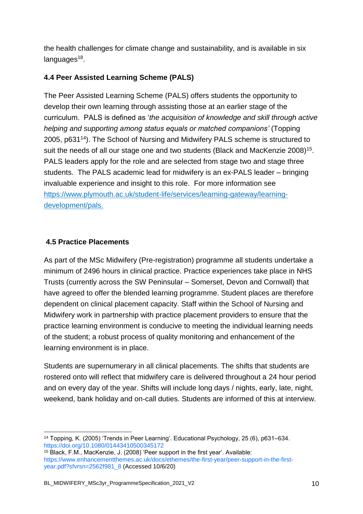the health challenges for climate change and sustainability, and is available in six languages<sup>18</sup>.

## **4.4 Peer Assisted Learning Scheme (PALS)**

The Peer Assisted Learning Scheme (PALS) offers students the opportunity to develop their own learning through assisting those at an earlier stage of the curriculum. PALS is defined as '*the acquisition of knowledge and skill through active helping and supporting among status equals or matched companions'* (Topping 2005, p631<sup>14</sup>). The School of Nursing and Midwifery PALS scheme is structured to suit the needs of all our stage one and two students (Black and MacKenzie 2008)<sup>15</sup>. PALS leaders apply for the role and are selected from stage two and stage three students. The PALS academic lead for midwifery is an ex-PALS leader – bringing invaluable experience and insight to this role. For more information see [https://www.plymouth.ac.uk/student-life/services/learning-gateway/learning](https://www.plymouth.ac.uk/student-life/services/learning-gateway/learning-development/pals)[development/pals.](https://www.plymouth.ac.uk/student-life/services/learning-gateway/learning-development/pals)

## **4.5 Practice Placements**

As part of the MSc Midwifery (Pre-registration) programme all students undertake a minimum of 2496 hours in clinical practice. Practice experiences take place in NHS Trusts (currently across the SW Peninsular – Somerset, Devon and Cornwall) that have agreed to offer the blended learning programme. Student places are therefore dependent on clinical placement capacity. Staff within the School of Nursing and Midwifery work in partnership with practice placement providers to ensure that the practice learning environment is conducive to meeting the individual learning needs of the student; a robust process of quality monitoring and enhancement of the learning environment is in place.

Students are supernumerary in all clinical placements. The shifts that students are rostered onto will reflect that midwifery care is delivered throughout a 24 hour period and on every day of the year. Shifts will include long days / nights, early, late, night, weekend, bank holiday and on-call duties. Students are informed of this at interview.

<sup>-</sup><sup>14</sup> Topping, K. (2005) 'Trends in Peer Learning'. Educational Psychology, 25 (6), p631–634. https://doi.org/10.1080/01443410500345172

<sup>15</sup> Black, F.M., MacKenzie, J. (2008) 'Peer support in the first year'. Available: https://www.enhancementthemes.ac.uk/docs/ethemes/the-first-year/peer-support-in-the-firstyear.pdf?sfvrsn=2562f981\_8 (Accessed 10/6/20)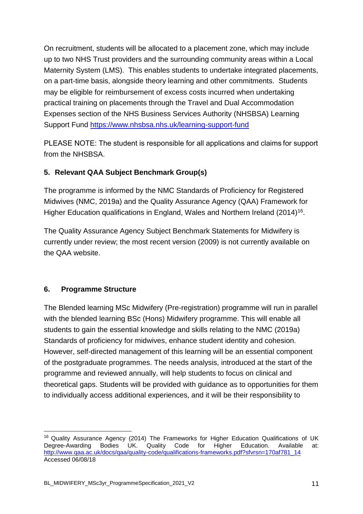On recruitment, students will be allocated to a placement zone, which may include up to two NHS Trust providers and the surrounding community areas within a Local Maternity System (LMS). This enables students to undertake integrated placements, on a part-time basis, alongside theory learning and other commitments. Students may be eligible for reimbursement of excess costs incurred when undertaking practical training on placements through the Travel and Dual Accommodation Expenses section of the NHS Business Services Authority (NHSBSA) Learning Support Fund <https://www.nhsbsa.nhs.uk/learning-support-fund>

PLEASE NOTE: The student is responsible for all applications and claims for support from the NHSBSA.

## **5. Relevant QAA Subject Benchmark Group(s)**

The programme is informed by the NMC Standards of Proficiency for Registered Midwives (NMC, 2019a) and the Quality Assurance Agency (QAA) Framework for Higher Education qualifications in England, Wales and Northern Ireland (2014)<sup>16</sup>.

The Quality Assurance Agency Subject Benchmark Statements for Midwifery is currently under review; the most recent version (2009) is not currently available on the QAA website.

## **6. Programme Structure**

-

The Blended learning MSc Midwifery (Pre-registration) programme will run in parallel with the blended learning BSc (Hons) Midwifery programme. This will enable all students to gain the essential knowledge and skills relating to the NMC (2019a) Standards of proficiency for midwives, enhance student identity and cohesion. However, self-directed management of this learning will be an essential component of the postgraduate programmes. The needs analysis, introduced at the start of the programme and reviewed annually, will help students to focus on clinical and theoretical gaps. Students will be provided with guidance as to opportunities for them to individually access additional experiences, and it will be their responsibility to

<sup>&</sup>lt;sup>16</sup> Quality Assurance Agency (2014) The Frameworks for Higher Education Qualifications of UK Degree-Awarding Bodies UK. Quality Code for Higher Education. Available at: [http://www.qaa.ac.uk/docs/qaa/quality-code/qualifications-frameworks.pdf?sfvrsn=170af781\\_14](http://www.qaa.ac.uk/docs/qaa/quality-code/qualifications-frameworks.pdf?sfvrsn=170af781_14) Accessed 06/08/18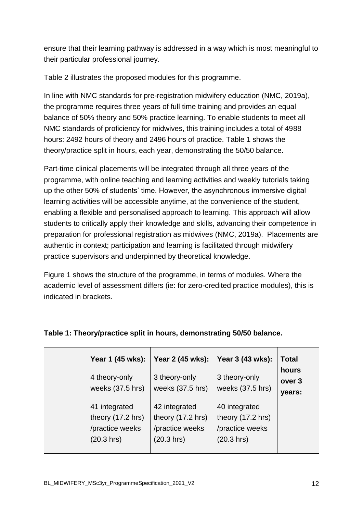ensure that their learning pathway is addressed in a way which is most meaningful to their particular professional journey.

Table 2 illustrates the proposed modules for this programme.

In line with NMC standards for pre-registration midwifery education (NMC, 2019a), the programme requires three years of full time training and provides an equal balance of 50% theory and 50% practice learning. To enable students to meet all NMC standards of proficiency for midwives, this training includes a total of 4988 hours: 2492 hours of theory and 2496 hours of practice. Table 1 shows the theory/practice split in hours, each year, demonstrating the 50/50 balance.

Part-time clinical placements will be integrated through all three years of the programme, with online teaching and learning activities and weekly tutorials taking up the other 50% of students' time. However, the asynchronous immersive digital learning activities will be accessible anytime, at the convenience of the student, enabling a flexible and personalised approach to learning. This approach will allow students to critically apply their knowledge and skills, advancing their competence in preparation for professional registration as midwives (NMC, 2019a). Placements are authentic in context; participation and learning is facilitated through midwifery practice supervisors and underpinned by theoretical knowledge.

Figure 1 shows the structure of the programme, in terms of modules. Where the academic level of assessment differs (ie: for zero-credited practice modules), this is indicated in brackets.

| Year 1 (45 wks):<br>4 theory-only<br>weeks $(37.5$ hrs)             | Year 2 (45 wks):<br>3 theory-only<br>weeks (37.5 hrs)               | Year 3 (43 wks):<br>3 theory-only<br>weeks (37.5 hrs)               | <b>Total</b><br>hours<br>over 3<br>years: |
|---------------------------------------------------------------------|---------------------------------------------------------------------|---------------------------------------------------------------------|-------------------------------------------|
| 41 integrated<br>theory (17.2 hrs)<br>/practice weeks<br>(20.3 hrs) | 42 integrated<br>theory (17.2 hrs)<br>/practice weeks<br>(20.3 hrs) | 40 integrated<br>theory (17.2 hrs)<br>/practice weeks<br>(20.3 hrs) |                                           |

## **Table 1: Theory/practice split in hours, demonstrating 50/50 balance.**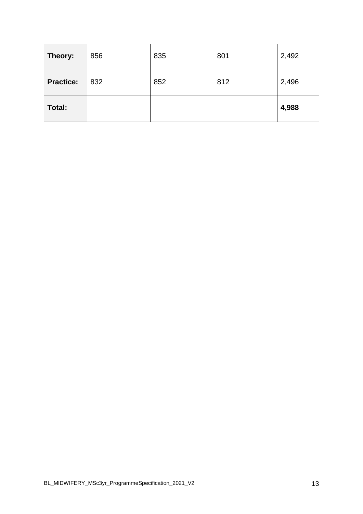| Theory:          | 856 | 835 | 801 | 2,492 |
|------------------|-----|-----|-----|-------|
| <b>Practice:</b> | 832 | 852 | 812 | 2,496 |
| Total:           |     |     |     | 4,988 |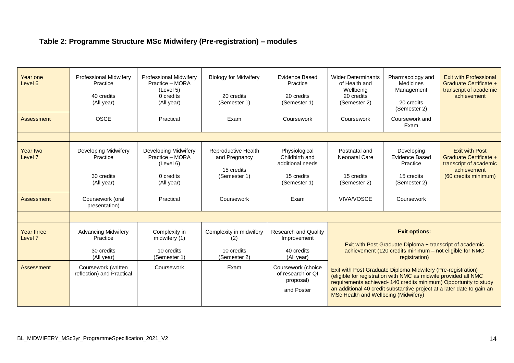# **Table 2: Programme Structure MSc Midwifery (Pre-registration) – modules**

| Year one<br>Level <sub>6</sub>   | <b>Professional Midwifery</b><br>Practice<br>40 credits<br>(All year)<br><b>OSCE</b> | <b>Professional Midwifery</b><br>Practice - MORA<br>(Level 5)<br>0 credits<br>(All year)<br>Practical | <b>Biology for Midwifery</b><br>20 credits<br>(Semester 1)<br>Exam | <b>Evidence Based</b><br>Practice<br>20 credits<br>(Semester 1)<br>Coursework | <b>Wider Determinants</b><br>of Health and<br>Wellbeing<br>20 credits<br>(Semester 2)<br>Coursework                                                                                                                                                                                                                  | Pharmacology and<br>Medicines<br>Management<br>20 credits<br>(Semester 2)<br>Coursework and                                                                  | <b>Exit with Professional</b><br>Graduate Certificate +<br>transcript of academic<br>achievement |
|----------------------------------|--------------------------------------------------------------------------------------|-------------------------------------------------------------------------------------------------------|--------------------------------------------------------------------|-------------------------------------------------------------------------------|----------------------------------------------------------------------------------------------------------------------------------------------------------------------------------------------------------------------------------------------------------------------------------------------------------------------|--------------------------------------------------------------------------------------------------------------------------------------------------------------|--------------------------------------------------------------------------------------------------|
| Assessment                       |                                                                                      |                                                                                                       |                                                                    |                                                                               |                                                                                                                                                                                                                                                                                                                      | Exam                                                                                                                                                         |                                                                                                  |
|                                  |                                                                                      |                                                                                                       |                                                                    |                                                                               |                                                                                                                                                                                                                                                                                                                      |                                                                                                                                                              |                                                                                                  |
| Year two<br>Level <sub>7</sub>   | Developing Midwifery<br>Practice                                                     | Developing Midwifery<br>Practice - MORA<br>(Level 6)                                                  | Reproductive Health<br>and Pregnancy<br>15 credits                 | Physiological<br>Childbirth and<br>additional needs                           | Postnatal and<br><b>Neonatal Care</b>                                                                                                                                                                                                                                                                                | Developing<br><b>Evidence Based</b><br>Practice                                                                                                              | <b>Exit with Post</b><br>Graduate Certificate +<br>transcript of academic<br>achievement         |
|                                  | 30 credits<br>(All year)                                                             | 0 credits<br>(All year)                                                                               | (Semester 1)                                                       | 15 credits<br>(Semester 1)                                                    | 15 credits<br>(Semester 2)                                                                                                                                                                                                                                                                                           | 15 credits<br>(Semester 2)                                                                                                                                   | (60 credits minimum)                                                                             |
| Assessment                       | Coursework (oral<br>presentation)                                                    | Practical                                                                                             | Coursework                                                         | Exam                                                                          | VIVA/VOSCE                                                                                                                                                                                                                                                                                                           | Coursework                                                                                                                                                   |                                                                                                  |
|                                  |                                                                                      |                                                                                                       |                                                                    |                                                                               |                                                                                                                                                                                                                                                                                                                      |                                                                                                                                                              |                                                                                                  |
| Year three<br>Level <sub>7</sub> | <b>Advancing Midwifery</b><br>Practice<br>30 credits<br>(All vear)                   | Complexity in<br>midwifery (1)<br>10 credits<br>(Semester 1)                                          | Complexity in midwifery<br>(2)<br>10 credits<br>(Semester 2)       | <b>Research and Quality</b><br>Improvement<br>40 credits<br>(All year)        |                                                                                                                                                                                                                                                                                                                      | <b>Exit options:</b><br>Exit with Post Graduate Diploma + transcript of academic<br>achievement (120 credits minimum - not eligible for NMC<br>registration) |                                                                                                  |
| Assessment                       | Coursework (written<br>reflection) and Practical                                     | Coursework                                                                                            | Exam                                                               | Coursework (choice<br>of research or QI<br>proposal)<br>and Poster            | Exit with Post Graduate Diploma Midwifery (Pre-registration)<br>(eligible for registration with NMC as midwife provided all NMC<br>requirements achieved-140 credits minimum) Opportunity to study<br>an additional 40 credit substantive project at a later date to gain an<br>MSc Health and Wellbeing (Midwifery) |                                                                                                                                                              |                                                                                                  |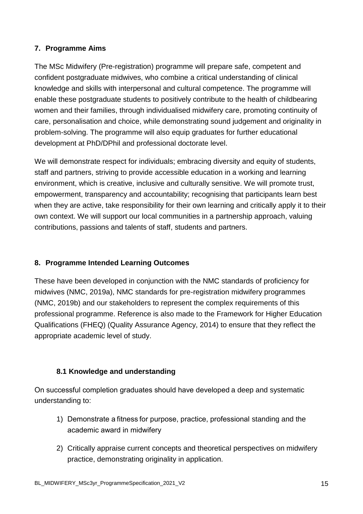## **7. Programme Aims**

The MSc Midwifery (Pre-registration) programme will prepare safe, competent and confident postgraduate midwives, who combine a critical understanding of clinical knowledge and skills with interpersonal and cultural competence. The programme will enable these postgraduate students to positively contribute to the health of childbearing women and their families, through individualised midwifery care, promoting continuity of care, personalisation and choice, while demonstrating sound judgement and originality in problem-solving. The programme will also equip graduates for further educational development at PhD/DPhil and professional doctorate level.

We will demonstrate respect for individuals; embracing diversity and equity of students, staff and partners, striving to provide accessible education in a working and learning environment, which is creative, inclusive and culturally sensitive. We will promote trust, empowerment, transparency and accountability; recognising that participants learn best when they are active, take responsibility for their own learning and critically apply it to their own context. We will support our local communities in a partnership approach, valuing contributions, passions and talents of staff, students and partners.

## **8. Programme Intended Learning Outcomes**

These have been developed in conjunction with the NMC standards of proficiency for midwives (NMC, 2019a), NMC standards for pre-registration midwifery programmes (NMC, 2019b) and our stakeholders to represent the complex requirements of this professional programme. Reference is also made to the Framework for Higher Education Qualifications (FHEQ) (Quality Assurance Agency, 2014) to ensure that they reflect the appropriate academic level of study.

## **8.1 Knowledge and understanding**

On successful completion graduates should have developed a deep and systematic understanding to:

- 1) Demonstrate a fitness for purpose, practice, professional standing and the academic award in midwifery
- 2) Critically appraise current concepts and theoretical perspectives on midwifery practice, demonstrating originality in application.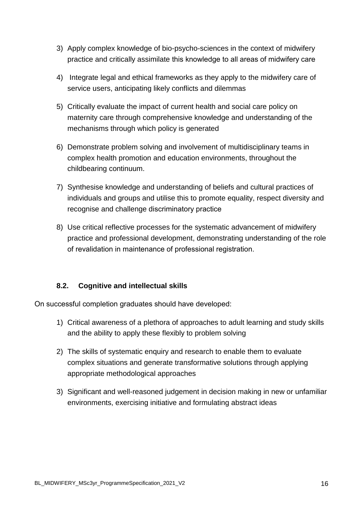- 3) Apply complex knowledge of bio-psycho-sciences in the context of midwifery practice and critically assimilate this knowledge to all areas of midwifery care
- 4) Integrate legal and ethical frameworks as they apply to the midwifery care of service users, anticipating likely conflicts and dilemmas
- 5) Critically evaluate the impact of current health and social care policy on maternity care through comprehensive knowledge and understanding of the mechanisms through which policy is generated
- 6) Demonstrate problem solving and involvement of multidisciplinary teams in complex health promotion and education environments, throughout the childbearing continuum.
- 7) Synthesise knowledge and understanding of beliefs and cultural practices of individuals and groups and utilise this to promote equality, respect diversity and recognise and challenge discriminatory practice
- 8) Use critical reflective processes for the systematic advancement of midwifery practice and professional development, demonstrating understanding of the role of revalidation in maintenance of professional registration.

## **8.2. Cognitive and intellectual skills**

On successful completion graduates should have developed: 

- 1) Critical awareness of a plethora of approaches to adult learning and study skills and the ability to apply these flexibly to problem solving
- 2) The skills of systematic enquiry and research to enable them to evaluate complex situations and generate transformative solutions through applying appropriate methodological approaches
- 3) Significant and well-reasoned judgement in decision making in new or unfamiliar environments, exercising initiative and formulating abstract ideas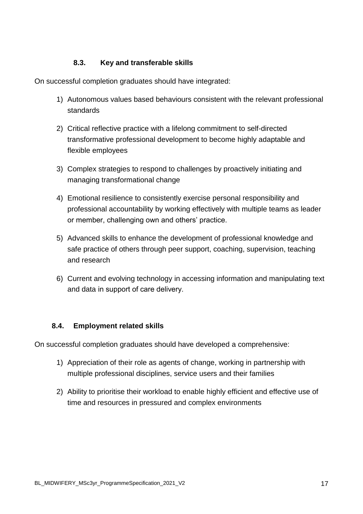## **8.3. Key and transferable skills**

On successful completion graduates should have integrated:

- 1) Autonomous values based behaviours consistent with the relevant professional standards
- 2) Critical reflective practice with a lifelong commitment to self-directed transformative professional development to become highly adaptable and flexible employees
- 3) Complex strategies to respond to challenges by proactively initiating and managing transformational change
- 4) Emotional resilience to consistently exercise personal responsibility and professional accountability by working effectively with multiple teams as leader or member, challenging own and others' practice.
- 5) Advanced skills to enhance the development of professional knowledge and safe practice of others through peer support, coaching, supervision, teaching and research
- 6) Current and evolving technology in accessing information and manipulating text and data in support of care delivery.

## **8.4. Employment related skills**

On successful completion graduates should have developed a comprehensive:

- 1) Appreciation of their role as agents of change, working in partnership with multiple professional disciplines, service users and their families
- 2) Ability to prioritise their workload to enable highly efficient and effective use of time and resources in pressured and complex environments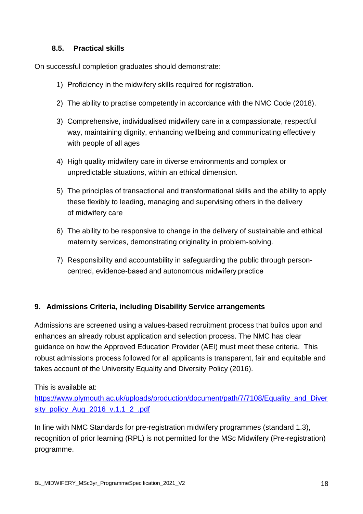## **8.5. Practical skills**

On successful completion graduates should demonstrate:

- 1) Proficiency in the midwifery skills required for registration.
- 2) The ability to practise competently in accordance with the NMC Code (2018).
- 3) Comprehensive, individualised midwifery care in a compassionate, respectful way, maintaining dignity, enhancing wellbeing and communicating effectively with people of all ages
- 4) High quality midwifery care in diverse environments and complex or unpredictable situations, within an ethical dimension.
- 5) The principles of transactional and transformational skills and the ability to apply these flexibly to leading, managing and supervising others in the delivery of midwifery care
- 6) The ability to be responsive to change in the delivery of sustainable and ethical maternity services, demonstrating originality in problem-solving.
- 7) Responsibility and accountability in safeguarding the public through personcentred, evidence-based and autonomous midwifery practice

## **9. Admissions Criteria, including Disability Service arrangements**

Admissions are screened using a values-based recruitment process that builds upon and enhances an already robust application and selection process. The NMC has clear guidance on how the Approved Education Provider (AEI) must meet these criteria. This robust admissions process followed for all applicants is transparent, fair and equitable and takes account of the University Equality and Diversity Policy (2016).

## This is available at:

[https://www.plymouth.ac.uk/uploads/production/document/path/7/7108/Equality\\_and\\_Diver](https://www.plymouth.ac.uk/uploads/production/document/path/7/7108/Equality_and_Diversity_policy_Aug_2016_v.1.1_2_.pdf) [sity\\_policy\\_Aug\\_2016\\_v.1.1\\_2\\_.pdf](https://www.plymouth.ac.uk/uploads/production/document/path/7/7108/Equality_and_Diversity_policy_Aug_2016_v.1.1_2_.pdf)

In line with NMC Standards for pre-registration midwifery programmes (standard 1.3), recognition of prior learning (RPL) is not permitted for the MSc Midwifery (Pre-registration) programme.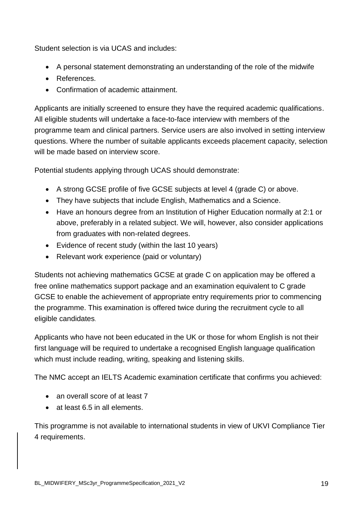Student selection is via UCAS and includes:

- A personal statement demonstrating an understanding of the role of the midwife
- **•** References.
- Confirmation of academic attainment.

Applicants are initially screened to ensure they have the required academic qualifications. All eligible students will undertake a face-to-face interview with members of the programme team and clinical partners. Service users are also involved in setting interview questions. Where the number of suitable applicants exceeds placement capacity, selection will be made based on interview score.

Potential students applying through UCAS should demonstrate:

- A strong GCSE profile of five GCSE subjects at level 4 (grade C) or above.
- They have subjects that include English, Mathematics and a Science.
- Have an honours degree from an Institution of Higher Education normally at 2:1 or above, preferably in a related subject. We will, however, also consider applications from graduates with non-related degrees.
- Evidence of recent study (within the last 10 years)
- Relevant work experience (paid or voluntary)

Students not achieving mathematics GCSE at grade C on application may be offered a free online mathematics support package and an examination equivalent to C grade GCSE to enable the achievement of appropriate entry requirements prior to commencing the programme. This examination is offered twice during the recruitment cycle to all eligible candidates.

Applicants who have not been educated in the UK or those for whom English is not their first language will be required to undertake a recognised English language qualification which must include reading, writing, speaking and listening skills.

The NMC accept an IELTS Academic examination certificate that confirms you achieved:

- an overall score of at least 7
- at least 6.5 in all elements.

This programme is not available to international students in view of UKVI Compliance Tier 4 requirements.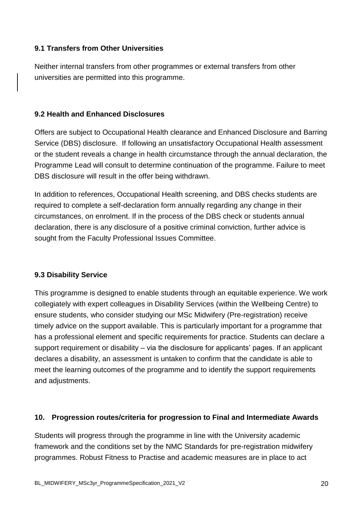## **9.1 Transfers from Other Universities**

Neither internal transfers from other programmes or external transfers from other universities are permitted into this programme.

#### **9.2 Health and Enhanced Disclosures**

Offers are subject to Occupational Health clearance and Enhanced Disclosure and Barring Service (DBS) disclosure. If following an unsatisfactory Occupational Health assessment or the student reveals a change in health circumstance through the annual declaration, the Programme Lead will consult to determine continuation of the programme. Failure to meet DBS disclosure will result in the offer being withdrawn.

In addition to references, Occupational Health screening, and DBS checks students are required to complete a self-declaration form annually regarding any change in their circumstances, on enrolment. If in the process of the DBS check or students annual declaration, there is any disclosure of a positive criminal conviction, further advice is sought from the Faculty Professional Issues Committee.

## **9.3 Disability Service**

This programme is designed to enable students through an equitable experience. We work collegiately with expert colleagues in Disability Services (within the Wellbeing Centre) to ensure students, who consider studying our MSc Midwifery (Pre-registration) receive timely advice on the support available. This is particularly important for a programme that has a professional element and specific requirements for practice. Students can declare a support requirement or disability – via the disclosure for applicants' pages. If an applicant declares a disability, an assessment is untaken to confirm that the candidate is able to meet the learning outcomes of the programme and to identify the support requirements and adjustments.

#### **10. Progression routes/criteria for progression to Final and Intermediate Awards**

Students will progress through the programme in line with the University academic framework and the conditions set by the NMC Standards for pre-registration midwifery programmes. Robust Fitness to Practise and academic measures are in place to act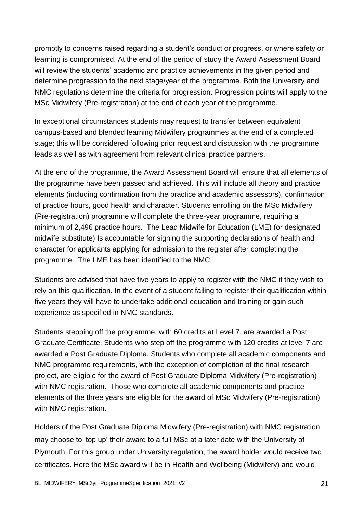promptly to concerns raised regarding a student's conduct or progress, or where safety or learning is compromised. At the end of the period of study the Award Assessment Board will review the students' academic and practice achievements in the given period and determine progression to the next stage/year of the programme. Both the University and NMC regulations determine the criteria for progression. Progression points will apply to the MSc Midwifery (Pre-registration) at the end of each year of the programme.

In exceptional circumstances students may request to transfer between equivalent campus-based and blended learning Midwifery programmes at the end of a completed stage; this will be considered following prior request and discussion with the programme leads as well as with agreement from relevant clinical practice partners.

At the end of the programme, the Award Assessment Board will ensure that all elements of the programme have been passed and achieved. This will include all theory and practice elements (including confirmation from the practice and academic assessors), confirmation of practice hours, good health and character. Students enrolling on the MSc Midwifery (Pre-registration) programme will complete the three-year programme, requiring a minimum of 2,496 practice hours.The Lead Midwife for Education (LME) (or designated midwife substitute) Is accountable for signing the supporting declarations of health and character for applicants applying for admission to the register after completing the programme. The LME has been identified to the NMC.

Students are advised that have five years to apply to register with the NMC if they wish to rely on this qualification. In the event of a student failing to register their qualification within five years they will have to undertake additional education and training or gain such experience as specified in NMC standards.

Students stepping off the programme, with 60 credits at Level 7, are awarded a Post Graduate Certificate. Students who step off the programme with 120 credits at level 7 are awarded a Post Graduate Diploma. Students who complete all academic components and NMC programme requirements, with the exception of completion of the final research project, are eligible for the award of Post Graduate Diploma Midwifery (Pre-registration) with NMC registration. Those who complete all academic components and practice elements of the three years are eligible for the award of MSc Midwifery (Pre-registration) with NMC registration.

Holders of the Post Graduate Diploma Midwifery (Pre-registration) with NMC registration may choose to 'top up' their award to a full MSc at a later date with the University of Plymouth. For this group under University regulation, the award holder would receive two certificates. Here the MSc award will be in Health and Wellbeing (Midwifery) and would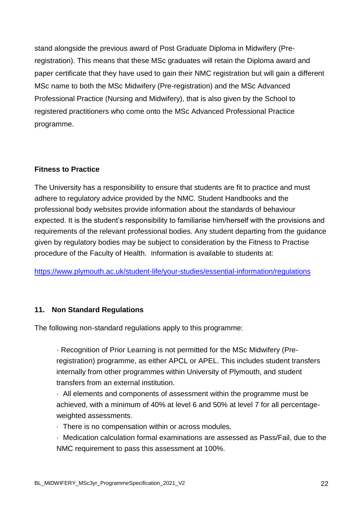stand alongside the previous award of Post Graduate Diploma in Midwifery (Preregistration). This means that these MSc graduates will retain the Diploma award and paper certificate that they have used to gain their NMC registration but will gain a different MSc name to both the MSc Midwifery (Pre-registration) and the MSc Advanced Professional Practice (Nursing and Midwifery), that is also given by the School to registered practitioners who come onto the MSc Advanced Professional Practice programme.

## **Fitness to Practice**

The University has a responsibility to ensure that students are fit to practice and must adhere to regulatory advice provided by the NMC. Student Handbooks and the professional body websites provide information about the standards of behaviour expected. It is the student's responsibility to familiarise him/herself with the provisions and requirements of the relevant professional bodies. Any student departing from the guidance given by regulatory bodies may be subject to consideration by the Fitness to Practise procedure of the Faculty of Health. Information is available to students at:

<https://www.plymouth.ac.uk/student-life/your-studies/essential-information/regulations>

## **11. Non Standard Regulations**

The following non-standard regulations apply to this programme:

· Recognition of Prior Learning is not permitted for the MSc Midwifery (Preregistration) programme, as either APCL or APEL. This includes student transfers internally from other programmes within University of Plymouth, and student transfers from an external institution.

· All elements and components of assessment within the programme must be achieved, with a minimum of 40% at level 6 and 50% at level 7 for all percentageweighted assessments.

· There is no compensation within or across modules.

· Medication calculation formal examinations are assessed as Pass/Fail, due to the NMC requirement to pass this assessment at 100%.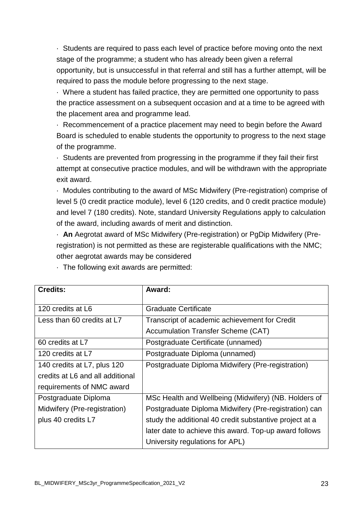· Students are required to pass each level of practice before moving onto the next stage of the programme; a student who has already been given a referral opportunity, but is unsuccessful in that referral and still has a further attempt, will be required to pass the module before progressing to the next stage.

· Where a student has failed practice, they are permitted one opportunity to pass the practice assessment on a subsequent occasion and at a time to be agreed with the placement area and programme lead.

· Recommencement of a practice placement may need to begin before the Award Board is scheduled to enable students the opportunity to progress to the next stage of the programme.

· Students are prevented from progressing in the programme if they fail their first attempt at consecutive practice modules, and will be withdrawn with the appropriate exit award.

· Modules contributing to the award of MSc Midwifery (Pre-registration) comprise of level 5 (0 credit practice module), level 6 (120 credits, and 0 credit practice module) and level 7 (180 credits). Note, standard University Regulations apply to calculation of the award, including awards of merit and distinction.

· **An** Aegrotat award of MSc Midwifery (Pre-registration) or PgDip Midwifery (Preregistration) is not permitted as these are registerable qualifications with the NMC; other aegrotat awards may be considered

| <b>Credits:</b>                  | Award:                                                  |
|----------------------------------|---------------------------------------------------------|
| 120 credits at L6                | Graduate Certificate                                    |
| Less than 60 credits at L7       | Transcript of academic achievement for Credit           |
|                                  | <b>Accumulation Transfer Scheme (CAT)</b>               |
| 60 credits at L7                 | Postgraduate Certificate (unnamed)                      |
| 120 credits at L7                | Postgraduate Diploma (unnamed)                          |
| 140 credits at L7, plus 120      | Postgraduate Diploma Midwifery (Pre-registration)       |
| credits at L6 and all additional |                                                         |
| requirements of NMC award        |                                                         |
| Postgraduate Diploma             | MSc Health and Wellbeing (Midwifery) (NB. Holders of    |
| Midwifery (Pre-registration)     | Postgraduate Diploma Midwifery (Pre-registration) can   |
| plus 40 credits L7               | study the additional 40 credit substantive project at a |
|                                  | later date to achieve this award. Top-up award follows  |
|                                  | University regulations for APL)                         |

· The following exit awards are permitted: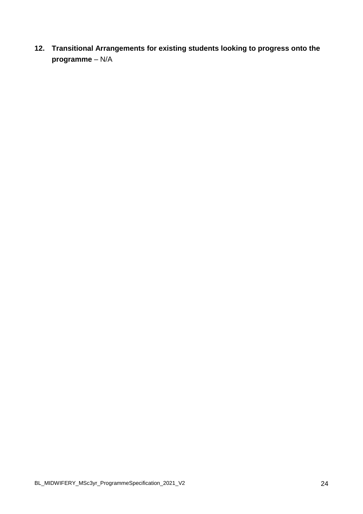**12. Transitional Arrangements for existing students looking to progress onto the programme** – N/A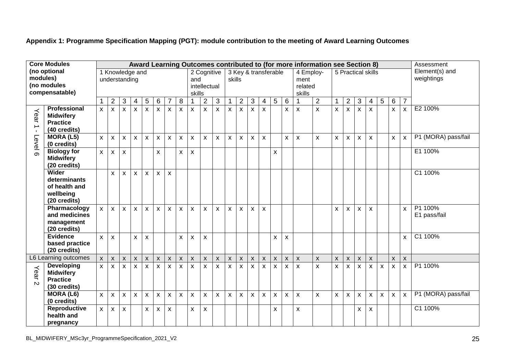**Appendix 1: Programme Specification Mapping (PGT): module contribution to the meeting of Award Learning Outcomes**

|                                                           | <b>Core Modules</b>                                                        |                                  |                         |                    |                    |                           |                           |                           |                           |                           |                                              |                    |                    |                                |                    |                         |                    |   | Award Learning Outcomes contributed to (for more information see Section 8) |                                                              |                |                |                    |                           |                           |                           |                              | Assessment              |
|-----------------------------------------------------------|----------------------------------------------------------------------------|----------------------------------|-------------------------|--------------------|--------------------|---------------------------|---------------------------|---------------------------|---------------------------|---------------------------|----------------------------------------------|--------------------|--------------------|--------------------------------|--------------------|-------------------------|--------------------|---|-----------------------------------------------------------------------------|--------------------------------------------------------------|----------------|----------------|--------------------|---------------------------|---------------------------|---------------------------|------------------------------|-------------------------|
| (no optional<br>modules)<br>(no modules<br>compensatable) |                                                                            | 1 Knowledge and<br>understanding |                         |                    |                    |                           |                           |                           |                           |                           | 2 Cognitive<br>and<br>intellectual<br>skills |                    |                    | 3 Key & transferable<br>skills |                    |                         |                    |   |                                                                             | 4 Employ-<br>5 Practical skills<br>ment<br>related<br>skills |                |                |                    |                           |                           |                           | Element(s) and<br>weightings |                         |
|                                                           |                                                                            | $\mathbf{1}$                     | $\overline{c}$          | $\mathbf{3}$       | 4                  | 5                         | 6                         | $\overline{7}$            | 8                         | $\mathbf 1$               | $\overline{2}$                               | $\overline{3}$     |                    | $\overline{2}$                 | $\mathfrak{S}$     | $\overline{\mathbf{4}}$ | $\overline{5}$     | 6 | 1                                                                           | $\overline{2}$                                               |                | $\overline{2}$ | $\mathfrak{S}$     | $\overline{4}$            | $\overline{5}$            | 6                         | $\overline{7}$               |                         |
| Year<br>$\rightarrow$<br>$\mathbf{L}$                     | <b>Professional</b><br><b>Midwifery</b><br><b>Practice</b><br>(40 credits) | $\mathsf{x}$                     | $\overline{\mathsf{x}}$ | X                  | $\mathsf{x}$       | $\boldsymbol{\mathsf{x}}$ | $\boldsymbol{\mathsf{x}}$ | $\pmb{\times}$            | $\boldsymbol{\mathsf{x}}$ | $\boldsymbol{\mathsf{x}}$ | $\boldsymbol{\mathsf{x}}$                    | X                  | $\pmb{\times}$     | X                              | $\pmb{\times}$     | X                       |                    | x | X                                                                           | $\mathsf{x}$                                                 | $\mathsf{x}$   | X              | $\pmb{\chi}$       | $\boldsymbol{\mathsf{x}}$ |                           | $\mathsf{x}$              | X                            | E2 100%                 |
| Level 6                                                   | <b>MORA (L5)</b><br>(0 credits)                                            | $\mathsf{x}$                     | X.                      | X                  | X.                 | $\boldsymbol{\mathsf{X}}$ | X                         | X                         | X                         | $\boldsymbol{\mathsf{x}}$ | X                                            | X                  | X                  | X                              | X                  | X                       |                    | X | X                                                                           | X                                                            | X              | X              | X                  | X                         |                           | X                         | X                            | P1 (MORA) pass/fail     |
|                                                           | <b>Biology for</b><br><b>Midwifery</b><br>(20 credits)                     | $\mathsf{x}$                     | x                       | $\mathsf{x}$       |                    |                           | X                         |                           | X                         | $\boldsymbol{\mathsf{x}}$ |                                              |                    |                    |                                |                    |                         | X                  |   |                                                                             |                                                              |                |                |                    |                           |                           |                           |                              | E1 100%                 |
|                                                           | Wider<br>determinants<br>of health and<br>wellbeing<br>(20 credits)        |                                  | x                       | X                  | X                  | $\boldsymbol{\mathsf{x}}$ | X                         | $\mathsf{x}$              |                           |                           |                                              |                    |                    |                                |                    |                         |                    |   |                                                                             |                                                              |                |                |                    |                           |                           |                           |                              | C1 100%                 |
|                                                           | Pharmacology<br>and medicines<br>management<br>(20 credits)                | $\mathsf{x}$                     | $\mathsf{x}$            | X                  | X                  | $\boldsymbol{\mathsf{X}}$ | X                         | $\pmb{\times}$            | $\pmb{\times}$            | $\boldsymbol{\mathsf{x}}$ | X                                            | $\pmb{\mathsf{X}}$ | X                  | X                              | $\pmb{\mathsf{X}}$ | X                       |                    |   |                                                                             |                                                              | x              | X              | x                  | X                         |                           |                           | X                            | P1 100%<br>E1 pass/fail |
|                                                           | <b>Evidence</b><br>based practice<br>(20 credits)                          | $\mathsf{x}$                     | $\mathsf{x}$            |                    | X                  | $\boldsymbol{\mathsf{X}}$ |                           |                           | X                         | $\boldsymbol{\mathsf{x}}$ | X                                            |                    |                    |                                |                    |                         | X                  | X |                                                                             |                                                              |                |                |                    |                           |                           |                           | X                            | C1 100%                 |
|                                                           | L6 Learning outcomes                                                       | $\mathsf{x}$                     | $\mathsf{X}$            | $\pmb{\mathsf{X}}$ | $\pmb{\mathsf{X}}$ | $\pmb{\times}$            | $\mathsf{\chi}$           | $\boldsymbol{\mathsf{x}}$ | $\pmb{\mathsf{X}}$        | $\pmb{\times}$            | $\pmb{\mathsf{X}}$                           | $\mathsf{x}$       | $\pmb{\mathsf{X}}$ | $\pmb{\mathsf{X}}$             | $\pmb{\mathsf{x}}$ | $\mathsf{X}$            | $\mathsf X$        | X | $\pmb{\times}$                                                              | $\pmb{\times}$                                               | $\mathsf{x}$   | $\mathsf{X}$   | $\pmb{\mathsf{X}}$ | $\pmb{\times}$            |                           | $\pmb{\mathsf{X}}$        | $\pmb{\mathsf{X}}$           |                         |
| Year<br>$\mathbf{v}$                                      | <b>Developing</b><br><b>Midwifery</b><br><b>Practice</b><br>(30 credits)   | $\mathsf{x}$                     | x                       | $\mathsf{x}$       | X                  | $\boldsymbol{\mathsf{X}}$ | $\boldsymbol{\mathsf{x}}$ | X                         | $\boldsymbol{\mathsf{x}}$ | $\boldsymbol{\mathsf{X}}$ | X                                            | X                  | X                  | X                              | $\pmb{\times}$     | X                       | $\mathsf{x}$       | x | $\pmb{\times}$                                                              | $\pmb{\mathsf{X}}$                                           | $\mathsf{x}$   | X              | X                  | X                         | $\boldsymbol{\mathsf{x}}$ | $\pmb{\times}$            | X                            | P1 100%                 |
|                                                           | <b>MORA (L6)</b><br>(0 credits)                                            | $\pmb{\chi}$                     | X                       | $\pmb{\times}$     | $\pmb{\times}$     | $\pmb{\times}$            | $\boldsymbol{\mathsf{x}}$ | $\boldsymbol{\mathsf{x}}$ | $\pmb{\mathsf{X}}$        | $\boldsymbol{\mathsf{x}}$ | $\mathsf{x}$                                 | $\pmb{\mathsf{X}}$ | $\pmb{\mathsf{X}}$ | X                              | $\pmb{\times}$     | $\mathsf{x}$            | $\pmb{\mathsf{X}}$ | Χ | X                                                                           | $\pmb{\times}$                                               | $\pmb{\times}$ | $\pmb{\times}$ | $\pmb{\times}$     | $\boldsymbol{\mathsf{x}}$ | $\pmb{\times}$            | $\boldsymbol{\mathsf{x}}$ | $\boldsymbol{\mathsf{x}}$    | P1 (MORA) pass/fail     |
|                                                           | <b>Reproductive</b><br>health and<br>pregnancy                             | $\pmb{\times}$                   | X                       | X                  |                    | X                         | X                         | X                         |                           | X                         | Χ                                            |                    |                    |                                |                    |                         | X                  |   | X                                                                           |                                                              |                |                | x                  | X                         |                           |                           |                              | C1 100%                 |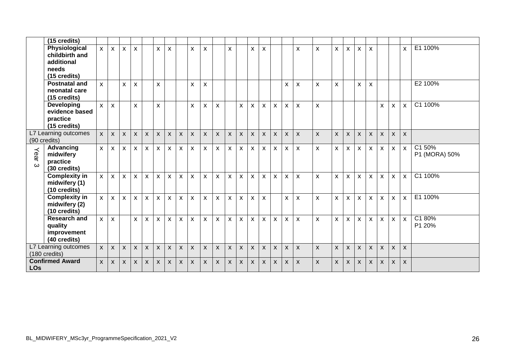|                   | $\overline{(15 \text{ credits})}$                                      |              |                           |              |              |              |                           |   |                           |                           |                           |                           |                           |                           |                           |                    |                           |                |                           |                           |                |                    |                |                           |                |                           |                           |                         |
|-------------------|------------------------------------------------------------------------|--------------|---------------------------|--------------|--------------|--------------|---------------------------|---|---------------------------|---------------------------|---------------------------|---------------------------|---------------------------|---------------------------|---------------------------|--------------------|---------------------------|----------------|---------------------------|---------------------------|----------------|--------------------|----------------|---------------------------|----------------|---------------------------|---------------------------|-------------------------|
|                   | Physiological<br>childbirth and<br>additional<br>needs<br>(15 credits) | $\mathsf{x}$ | $\pmb{\mathsf{X}}$        | X            | $\mathsf{x}$ |              | X                         | X |                           | X                         | $\pmb{\times}$            |                           | X                         |                           | $\pmb{\mathsf{X}}$        | $\pmb{\mathsf{X}}$ |                           |                | X                         | $\pmb{\times}$            | X              | X                  | X              | X                         |                |                           | X                         | E1 100%                 |
|                   | <b>Postnatal and</b><br>neonatal care<br>(15 credits)                  | X            |                           | X            | X            |              | $\pmb{\times}$            |   |                           | X                         | X                         |                           |                           |                           |                           |                    |                           | X              | X                         | $\mathsf{x}$              | X              |                    | X              | X                         |                |                           |                           | E2 100%                 |
|                   | <b>Developing</b><br>evidence based<br>practice<br>(15 credits)        | $\mathsf{x}$ | $\pmb{\times}$            |              | X            |              | $\mathsf{x}$              |   |                           | $\pmb{\mathsf{X}}$        | $\boldsymbol{\mathsf{x}}$ | $\pmb{\times}$            |                           | X                         | $\boldsymbol{\mathsf{X}}$ | X                  | $\mathsf{X}$              | $\mathsf{x}$   | $\boldsymbol{\mathsf{x}}$ | $\pmb{\chi}$              |                |                    |                |                           | $\mathsf{x}$   | $\boldsymbol{\mathsf{x}}$ | $\mathsf{x}$              | C1 100%                 |
|                   | L7 Learning outcomes<br>(90 credits)                                   | $\mathsf{x}$ | $\mathsf{x}$              | $\mathsf{X}$ | $\mathsf{x}$ | $\mathsf{x}$ | $\mathsf{x}$              | X | $\pmb{\times}$            | $\mathsf{x}$              | $\pmb{\times}$            | $\boldsymbol{\mathsf{x}}$ | $\mathsf{x}$              | $\boldsymbol{\mathsf{x}}$ | $\mathsf{x}$              | $\pmb{\mathsf{X}}$ | $\pmb{\mathsf{X}}$        | X              | $\mathsf{x}$              | $\pmb{\mathsf{X}}$        | $\mathsf{x}$   | $\pmb{\mathsf{X}}$ | $\pmb{\times}$ | $\boldsymbol{\mathsf{X}}$ | $\pmb{\times}$ | $\mathsf{x}$              | $\boldsymbol{\mathsf{x}}$ |                         |
| Year <sub>3</sub> | Advancing<br>midwifery<br>practice<br>(30 credits)                     | $\mathsf{x}$ | $\mathsf{x}$              | $\mathsf{x}$ | $\mathsf{X}$ | $\mathsf{x}$ | $\mathsf{x}$              | X | $\mathsf{x}$              | X                         | X                         | X                         | X                         | X                         | $\boldsymbol{\mathsf{x}}$ | $\mathsf{x}$       | $\boldsymbol{\mathsf{X}}$ | $\mathsf{X}$   | $\boldsymbol{\mathsf{X}}$ | $\pmb{\chi}$              | X              | x                  | <b>X</b>       | $\pmb{\chi}$              | X              | X                         | $\pmb{\times}$            | C1 50%<br>P1 (MORA) 50% |
|                   | <b>Complexity in</b><br>midwifery (1)<br>(10 credits)                  | $\mathsf{x}$ | $\boldsymbol{\mathsf{x}}$ | X            | $\mathsf{x}$ | X            | $\pmb{\times}$            | X | X                         | X                         | X                         | X                         | X                         | X                         | $\boldsymbol{\mathsf{x}}$ | $\pmb{\times}$     | $\mathsf{x}$              | X              | X                         | $\pmb{\chi}$              | X              | X.                 | X              | $\pmb{\chi}$              | X              | $\pmb{\times}$            | $\pmb{\times}$            | C1 100%                 |
|                   | <b>Complexity in</b><br>midwifery (2)<br>(10 credits)                  | $\mathsf{x}$ | X                         | X            | $\mathsf{x}$ | $\mathsf{x}$ | X                         | X | $\mathsf{x}$              | X                         | X                         | X                         | X                         | X                         | X                         | X                  |                           | X              | X                         | $\pmb{\chi}$              | $\pmb{\chi}$   | X.                 | $\mathsf{x}$   | X.                        | X              | X                         | $\pmb{\times}$            | E1 100%                 |
|                   | <b>Research and</b><br>quality<br>improvement<br>(40 credits)          | $\mathsf{x}$ | $\mathsf{x}$              |              | X            | X            | $\boldsymbol{\mathsf{x}}$ | X | $\pmb{\times}$            | $\mathsf{x}$              | $\pmb{\chi}$              | $\pmb{\times}$            | $\boldsymbol{\mathsf{x}}$ | $\pmb{\times}$            | $\boldsymbol{\mathsf{x}}$ | $\mathsf{x}$       | $\boldsymbol{\mathsf{X}}$ | $\pmb{\times}$ | $\pmb{\times}$            | $\pmb{\times}$            | $\pmb{\times}$ | X                  | $\mathsf{x}$   | X                         | $\pmb{\times}$ | $\pmb{\times}$            | $\pmb{\mathsf{X}}$        | C180%<br>P1 20%         |
|                   | L7 Learning outcomes<br>(180 credits)                                  | $\mathsf{X}$ | $\mathsf{x}$              | X            | $\mathsf{x}$ | $\mathsf{x}$ | $\mathsf{x}$              | X | $\boldsymbol{\mathsf{x}}$ | $\mathsf{x}$              | $\mathsf{x}$              | $\boldsymbol{\mathsf{x}}$ | $\boldsymbol{\mathsf{X}}$ | $\boldsymbol{\mathsf{x}}$ | $\boldsymbol{\mathsf{X}}$ | X                  | $\pmb{\mathsf{X}}$        | X              | $\boldsymbol{\mathsf{X}}$ | $\boldsymbol{\mathsf{X}}$ | $\mathsf{x}$   | $\pmb{\mathsf{X}}$ | X              | $\mathsf{x}$              | X              | $\boldsymbol{\mathsf{x}}$ | $\boldsymbol{\mathsf{x}}$ |                         |
| <b>LOs</b>        | <b>Confirmed Award</b>                                                 | $\mathsf{x}$ | $\boldsymbol{\mathsf{x}}$ | X            | $\mathsf{x}$ | $\mathsf{x}$ | $\mathsf{x}$              | X | $\mathsf{x}$              | $\boldsymbol{\mathsf{x}}$ | $\mathsf{x}$              | $\boldsymbol{\mathsf{x}}$ | X                         | X                         | $\boldsymbol{\mathsf{X}}$ | X                  | X                         | $\mathsf{x}$   | $\boldsymbol{\mathsf{X}}$ | $\pmb{\mathsf{X}}$        | X              | X                  | X              | X                         | $\pmb{\times}$ | X                         | $\boldsymbol{\mathsf{x}}$ |                         |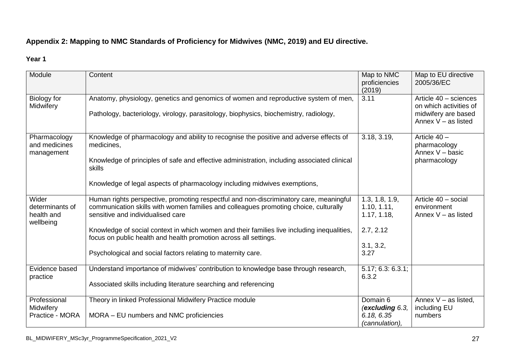## **Appendix 2: Mapping to NMC Standards of Proficiency for Midwives (NMC, 2019) and EU directive.**

#### **Year 1**

| Module                                              | Content                                                                                                                                                                                                                                                                                                                                                                                                                                               | Map to NMC<br>proficiencies<br>(2019)                                          | Map to EU directive<br>2005/36/EC                                                               |
|-----------------------------------------------------|-------------------------------------------------------------------------------------------------------------------------------------------------------------------------------------------------------------------------------------------------------------------------------------------------------------------------------------------------------------------------------------------------------------------------------------------------------|--------------------------------------------------------------------------------|-------------------------------------------------------------------------------------------------|
| Biology for<br>Midwifery                            | Anatomy, physiology, genetics and genomics of women and reproductive system of men,<br>Pathology, bacteriology, virology, parasitology, biophysics, biochemistry, radiology,                                                                                                                                                                                                                                                                          | 3.11                                                                           | Article 40 - sciences<br>on which activities of<br>midwifery are based<br>Annex $V -$ as listed |
| Pharmacology<br>and medicines<br>management         | Knowledge of pharmacology and ability to recognise the positive and adverse effects of<br>medicines,<br>Knowledge of principles of safe and effective administration, including associated clinical<br>skills<br>Knowledge of legal aspects of pharmacology including midwives exemptions,                                                                                                                                                            | 3.18, 3.19,                                                                    | Article 40 -<br>pharmacology<br>Annex V - basic<br>pharmacology                                 |
| Wider<br>determinants of<br>health and<br>wellbeing | Human rights perspective, promoting respectful and non-discriminatory care, meaningful<br>communication skills with women families and colleagues promoting choice, culturally<br>sensitive and individualised care<br>Knowledge of social context in which women and their families live including inequalities,<br>focus on public health and health promotion across all settings.<br>Psychological and social factors relating to maternity care. | 1.3, 1.8, 1.9,<br>1.10, 1.11,<br>1.17, 1.18,<br>2.7, 2.12<br>3.1, 3.2,<br>3.27 | Article 40 - social<br>environment<br>Annex $V - as$ listed                                     |
| Evidence based<br>practice                          | Understand importance of midwives' contribution to knowledge base through research,<br>Associated skills including literature searching and referencing                                                                                                                                                                                                                                                                                               | 5.17; 6.3; 6.3.1;<br>6.3.2                                                     |                                                                                                 |
| Professional<br>Midwifery<br>Practice - MORA        | Theory in linked Professional Midwifery Practice module<br>MORA - EU numbers and NMC proficiencies                                                                                                                                                                                                                                                                                                                                                    | Domain 6<br>(excluding 6.3,<br>6.18, 6.35<br>(cannulation),                    | Annex $V - as$ listed,<br>including EU<br>numbers                                               |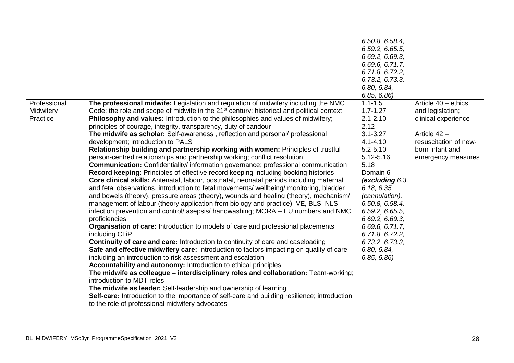|              |                                                                                                       | 6.50.8, 6.58.4, |                       |
|--------------|-------------------------------------------------------------------------------------------------------|-----------------|-----------------------|
|              |                                                                                                       | 6.59.2, 6.65.5, |                       |
|              |                                                                                                       | 6.69.2, 6.69.3, |                       |
|              |                                                                                                       | 6.69.6, 6.71.7, |                       |
|              |                                                                                                       | 6.71.8, 6.72.2, |                       |
|              |                                                                                                       | 6.73.2, 6.73.3, |                       |
|              |                                                                                                       | 6.80, 6.84,     |                       |
|              |                                                                                                       | 6.85, 6.86      |                       |
| Professional | The professional midwife: Legislation and regulation of midwifery including the NMC                   | $1.1 - 1.5$     | Article $40 -$ ethics |
| Midwifery    | Code; the role and scope of midwife in the 21 <sup>st</sup> century; historical and political context | $1.7 - 1.27$    | and legislation;      |
| Practice     | Philosophy and values: Introduction to the philosophies and values of midwifery;                      | $2.1 - 2.10$    | clinical experience   |
|              | principles of courage, integrity, transparency, duty of candour                                       | 2.12            |                       |
|              | The midwife as scholar: Self-awareness, reflection and personal/ professional                         | $3.1 - 3.27$    | Article 42 -          |
|              | development; introduction to PALS                                                                     | $4.1 - 4.10$    | resuscitation of new- |
|              | Relationship building and partnership working with women: Principles of trustful                      | $5.2 - 5.10$    | born infant and       |
|              | person-centred relationships and partnership working; conflict resolution                             | 5.12-5.16       | emergency measures    |
|              | <b>Communication:</b> Confidentiality/information governance; professional communication              | 5.18            |                       |
|              | Record keeping: Principles of effective record keeping including booking histories                    | Domain 6        |                       |
|              | Core clinical skills: Antenatal, labour, postnatal, neonatal periods including maternal               | (excluding 6.3, |                       |
|              | and fetal observations, introduction to fetal movements/ wellbeing/ monitoring, bladder               | 6.18, 6.35      |                       |
|              | and bowels (theory), pressure areas (theory), wounds and healing (theory), mechanism/                 | (cannulation),  |                       |
|              | management of labour (theory application from biology and practice), VE, BLS, NLS,                    | 6.50.8, 6.58.4, |                       |
|              | infection prevention and control/ asepsis/ handwashing; MORA – EU numbers and NMC                     | 6.59.2, 6.65.5, |                       |
|              | proficiencies                                                                                         | 6.69.2, 6.69.3, |                       |
|              | <b>Organisation of care: Introduction to models of care and professional placements</b>               | 6.69.6, 6.71.7, |                       |
|              | including CLiP                                                                                        | 6.71.8, 6.72.2, |                       |
|              | <b>Continuity of care and care:</b> Introduction to continuity of care and caseloading                | 6.73.2, 6.73.3, |                       |
|              | Safe and effective midwifery care: Introduction to factors impacting on quality of care               | 6.80, 6.84,     |                       |
|              | including an introduction to risk assessment and escalation                                           | 6.85, 6.86      |                       |
|              | Accountability and autonomy: Introduction to ethical principles                                       |                 |                       |
|              | The midwife as colleague - interdisciplinary roles and collaboration: Team-working;                   |                 |                       |
|              | introduction to MDT roles                                                                             |                 |                       |
|              | The midwife as leader: Self-leadership and ownership of learning                                      |                 |                       |
|              | <b>Self-care:</b> Introduction to the importance of self-care and building resilience; introduction   |                 |                       |
|              | to the role of professional midwifery advocates                                                       |                 |                       |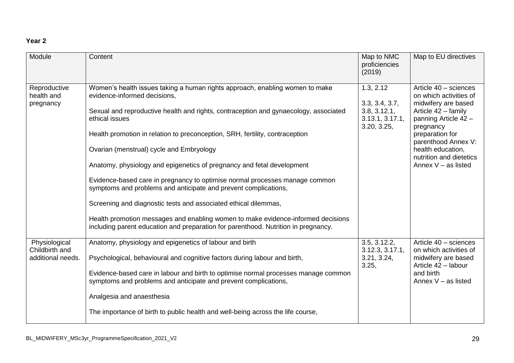## **Year 2**

| Module                                               | Content                                                                                                                                                                                                                                                                                                                                                                                                                                                                                                                                                                                                                                                                                                                                                                                                                     | Map to NMC<br>proficiencies<br>(2019)                                                       | Map to EU directives                                                                                                                                                                                                                                  |
|------------------------------------------------------|-----------------------------------------------------------------------------------------------------------------------------------------------------------------------------------------------------------------------------------------------------------------------------------------------------------------------------------------------------------------------------------------------------------------------------------------------------------------------------------------------------------------------------------------------------------------------------------------------------------------------------------------------------------------------------------------------------------------------------------------------------------------------------------------------------------------------------|---------------------------------------------------------------------------------------------|-------------------------------------------------------------------------------------------------------------------------------------------------------------------------------------------------------------------------------------------------------|
| Reproductive<br>health and<br>pregnancy              | Women's health issues taking a human rights approach, enabling women to make<br>evidence-informed decisions,<br>Sexual and reproductive health and rights, contraception and gynaecology, associated<br>ethical issues<br>Health promotion in relation to preconception, SRH, fertility, contraception<br>Ovarian (menstrual) cycle and Embryology<br>Anatomy, physiology and epigenetics of pregnancy and fetal development<br>Evidence-based care in pregnancy to optimise normal processes manage common<br>symptoms and problems and anticipate and prevent complications,<br>Screening and diagnostic tests and associated ethical dilemmas,<br>Health promotion messages and enabling women to make evidence-informed decisions<br>including parent education and preparation for parenthood. Nutrition in pregnancy. | $\overline{1}$ .3, 2.12<br>3.3, 3.4, 3.7,<br>3.8, 3.12.1,<br>3.13.1, 3.17.1,<br>3.20, 3.25, | Article 40 - sciences<br>on which activities of<br>midwifery are based<br>Article 42 - family<br>panning Article 42 -<br>pregnancy<br>preparation for<br>parenthood Annex V:<br>health education,<br>nutrition and dietetics<br>Annex $V -$ as listed |
| Physiological<br>Childbirth and<br>additional needs. | Anatomy, physiology and epigenetics of labour and birth<br>Psychological, behavioural and cognitive factors during labour and birth,<br>Evidence-based care in labour and birth to optimise normal processes manage common<br>symptoms and problems and anticipate and prevent complications,<br>Analgesia and anaesthesia<br>The importance of birth to public health and well-being across the life course,                                                                                                                                                                                                                                                                                                                                                                                                               | 3.5, 3.12.2,<br>3.12.3, 3.17.1,<br>3.21, 3.24,<br>3.25,                                     | Article 40 - sciences<br>on which activities of<br>midwifery are based<br>Article 42 - labour<br>and birth<br>Annex $V -$ as listed                                                                                                                   |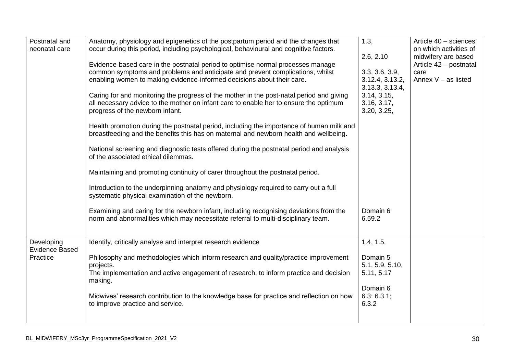| Postnatal and<br>neonatal care                  | Anatomy, physiology and epigenetics of the postpartum period and the changes that<br>occur during this period, including psychological, behavioural and cognitive factors.<br>Evidence-based care in the postnatal period to optimise normal processes manage<br>common symptoms and problems and anticipate and prevent complications, whilst<br>enabling women to making evidence-informed decisions about their care.<br>Caring for and monitoring the progress of the mother in the post-natal period and giving<br>all necessary advice to the mother on infant care to enable her to ensure the optimum<br>progress of the newborn infant.<br>Health promotion during the postnatal period, including the importance of human milk and<br>breastfeeding and the benefits this has on maternal and newborn health and wellbeing. | 1.3,<br>2.6, 2.10<br>3.3, 3.6, 3.9,<br>3.12.4, 3.13.2,<br>3.13.3, 3.13.4,<br>3.14, 3.15,<br>3.16, 3.17,<br>3.20, 3.25, | Article 40 - sciences<br>on which activities of<br>midwifery are based<br>Article 42 - postnatal<br>care<br>Annex $V - as$ listed |
|-------------------------------------------------|---------------------------------------------------------------------------------------------------------------------------------------------------------------------------------------------------------------------------------------------------------------------------------------------------------------------------------------------------------------------------------------------------------------------------------------------------------------------------------------------------------------------------------------------------------------------------------------------------------------------------------------------------------------------------------------------------------------------------------------------------------------------------------------------------------------------------------------|------------------------------------------------------------------------------------------------------------------------|-----------------------------------------------------------------------------------------------------------------------------------|
|                                                 | National screening and diagnostic tests offered during the postnatal period and analysis<br>of the associated ethical dilemmas.<br>Maintaining and promoting continuity of carer throughout the postnatal period.<br>Introduction to the underpinning anatomy and physiology required to carry out a full<br>systematic physical examination of the newborn.<br>Examining and caring for the newborn infant, including recognising deviations from the<br>norm and abnormalities which may necessitate referral to multi-disciplinary team.                                                                                                                                                                                                                                                                                           | Domain 6<br>6.59.2                                                                                                     |                                                                                                                                   |
| Developing<br><b>Evidence Based</b><br>Practice | Identify, critically analyse and interpret research evidence<br>Philosophy and methodologies which inform research and quality/practice improvement<br>projects.<br>The implementation and active engagement of research; to inform practice and decision<br>making.<br>Midwives' research contribution to the knowledge base for practice and reflection on how<br>to improve practice and service.                                                                                                                                                                                                                                                                                                                                                                                                                                  | 1.4, 1.5,<br>Domain 5<br>5.1, 5.9, 5.10,<br>5.11, 5.17<br>Domain 6<br>6.3: 6.3.1;<br>6.3.2                             |                                                                                                                                   |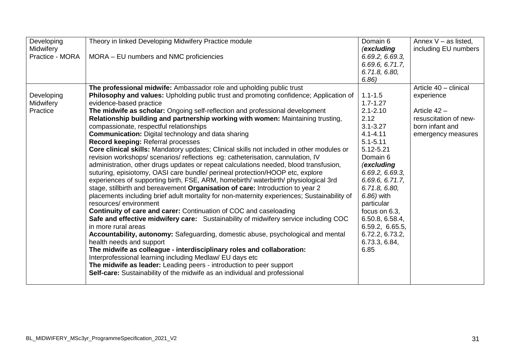| Developing      | Theory in linked Developing Midwifery Practice module                                       | Domain 6          | Annex $V - as$ listed, |
|-----------------|---------------------------------------------------------------------------------------------|-------------------|------------------------|
| Midwifery       |                                                                                             | (excluding        | including EU numbers   |
| Practice - MORA | MORA - EU numbers and NMC proficiencies                                                     | 6.69.2, 6.69.3,   |                        |
|                 |                                                                                             | 6.69.6, 6.71.7,   |                        |
|                 |                                                                                             | 6.71.8, 6.80,     |                        |
|                 |                                                                                             | 6.86)             |                        |
|                 | The professional midwife: Ambassador role and upholding public trust                        |                   | Article 40 - clinical  |
| Developing      | Philosophy and values: Upholding public trust and promoting confidence; Application of      | $1.1 - 1.5$       | experience             |
| Midwifery       | evidence-based practice                                                                     | $1.7 - 1.27$      |                        |
| Practice        | The midwife as scholar: Ongoing self-reflection and professional development                | $2.1 - 2.10$      | Article $42 -$         |
|                 | Relationship building and partnership working with women: Maintaining trusting,             | 2.12              | resuscitation of new-  |
|                 | compassionate, respectful relationships                                                     | $3.1 - 3.27$      | born infant and        |
|                 | <b>Communication:</b> Digital technology and data sharing                                   | $4.1 - 4.11$      | emergency measures     |
|                 | Record keeping: Referral processes                                                          | $5.1 - 5.11$      |                        |
|                 | Core clinical skills: Mandatory updates; Clinical skills not included in other modules or   | 5.12-5.21         |                        |
|                 | revision workshops/scenarios/reflections eg: catheterisation, cannulation, IV               | Domain 6          |                        |
|                 | administration, other drugs updates or repeat calculations needed, blood transfusion,       | <i>(excluding</i> |                        |
|                 | suturing, episiotomy, OASI care bundle/ perineal protection/HOOP etc, explore               | 6.69.2, 6.69.3,   |                        |
|                 | experiences of supporting birth, FSE, ARM, homebirth/ waterbirth/ physiological 3rd         | 6.69.6, 6.71.7,   |                        |
|                 | stage, stillbirth and bereavement Organisation of care: Introduction to year 2              | 6.71.8, 6.80,     |                        |
|                 | placements including brief adult mortality for non-maternity experiences; Sustainability of | 6.86) with        |                        |
|                 | resources/environment                                                                       | particular        |                        |
|                 | Continuity of care and carer: Continuation of COC and caseloading                           | focus on 6.3,     |                        |
|                 | Safe and effective midwifery care: Sustainability of midwifery service including COC        | 6.50.8, 6.58.4,   |                        |
|                 | in more rural areas                                                                         | 6.59.2, 6.65.5,   |                        |
|                 | Accountability, autonomy: Safeguarding, domestic abuse, psychological and mental            | 6.72.2, 6.73.2,   |                        |
|                 | health needs and support                                                                    | 6.73.3, 6.84,     |                        |
|                 | The midwife as colleague - interdisciplinary roles and collaboration:                       | 6.85              |                        |
|                 | Interprofessional learning including Medlaw/ EU days etc                                    |                   |                        |
|                 | The midwife as leader: Leading peers - introduction to peer support                         |                   |                        |
|                 | Self-care: Sustainability of the midwife as an individual and professional                  |                   |                        |
|                 |                                                                                             |                   |                        |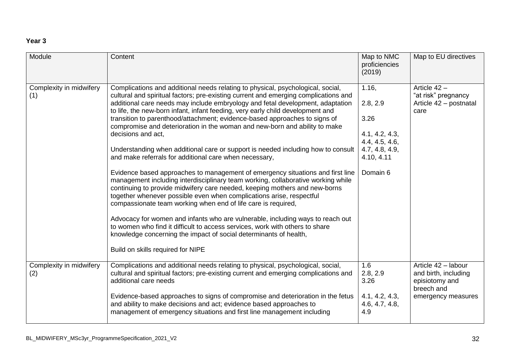#### **Year 3**

| Module                         | Content                                                                                                                                                                                                                                                                                                                                                                                                                                                                                                                                                                                                                                                                                                                                                                                                                                                                                                                                                                                                                                                                                                                                                                                                                                                                                                                                             | Map to NMC<br>proficiencies<br>(2019)                                                                     | Map to EU directives                                                                              |
|--------------------------------|-----------------------------------------------------------------------------------------------------------------------------------------------------------------------------------------------------------------------------------------------------------------------------------------------------------------------------------------------------------------------------------------------------------------------------------------------------------------------------------------------------------------------------------------------------------------------------------------------------------------------------------------------------------------------------------------------------------------------------------------------------------------------------------------------------------------------------------------------------------------------------------------------------------------------------------------------------------------------------------------------------------------------------------------------------------------------------------------------------------------------------------------------------------------------------------------------------------------------------------------------------------------------------------------------------------------------------------------------------|-----------------------------------------------------------------------------------------------------------|---------------------------------------------------------------------------------------------------|
| Complexity in midwifery<br>(1) | Complications and additional needs relating to physical, psychological, social,<br>cultural and spiritual factors; pre-existing current and emerging complications and<br>additional care needs may include embryology and fetal development, adaptation<br>to life, the new-born infant, infant feeding, very early child development and<br>transition to parenthood/attachment; evidence-based approaches to signs of<br>compromise and deterioration in the woman and new-born and ability to make<br>decisions and act,<br>Understanding when additional care or support is needed including how to consult<br>and make referrals for additional care when necessary,<br>Evidence based approaches to management of emergency situations and first line<br>management including interdisciplinary team working, collaborative working while<br>continuing to provide midwifery care needed, keeping mothers and new-borns<br>together whenever possible even when complications arise, respectful<br>compassionate team working when end of life care is required,<br>Advocacy for women and infants who are vulnerable, including ways to reach out<br>to women who find it difficult to access services, work with others to share<br>knowledge concerning the impact of social determinants of health,<br>Build on skills required for NIPE | 1.16,<br>2.8, 2.9<br>3.26<br>4.1, 4.2, 4.3,<br>4.4, 4.5, 4.6,<br>4.7, 4.8, 4.9,<br>4.10, 4.11<br>Domain 6 | Article 42 -<br>"at risk" pregnancy<br>Article 42 - postnatal<br>care                             |
| Complexity in midwifery<br>(2) | Complications and additional needs relating to physical, psychological, social,<br>cultural and spiritual factors; pre-existing current and emerging complications and<br>additional care needs<br>Evidence-based approaches to signs of compromise and deterioration in the fetus<br>and ability to make decisions and act; evidence based approaches to<br>management of emergency situations and first line management including                                                                                                                                                                                                                                                                                                                                                                                                                                                                                                                                                                                                                                                                                                                                                                                                                                                                                                                 | 1.6<br>2.8, 2.9<br>3.26<br>4.1, 4.2, 4.3,<br>4.6, 4.7, 4.8,<br>4.9                                        | Article 42 - labour<br>and birth, including<br>episiotomy and<br>breech and<br>emergency measures |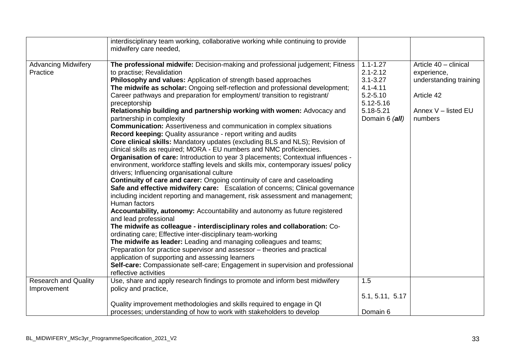|                                            | interdisciplinary team working, collaborative working while continuing to provide<br>midwifery care needed,                                                                                                                                                                                                                                                                                                                                                                                                                                                                                                                                                                                                                                                                                                                                                                                                                                                                                                                                                                                                                                                                                                                                                                                                                                                                                                                                                                                                                                                                                                                                                                                                                                                                                                                                           |                                                                                                                          |                                                                                                                |
|--------------------------------------------|-------------------------------------------------------------------------------------------------------------------------------------------------------------------------------------------------------------------------------------------------------------------------------------------------------------------------------------------------------------------------------------------------------------------------------------------------------------------------------------------------------------------------------------------------------------------------------------------------------------------------------------------------------------------------------------------------------------------------------------------------------------------------------------------------------------------------------------------------------------------------------------------------------------------------------------------------------------------------------------------------------------------------------------------------------------------------------------------------------------------------------------------------------------------------------------------------------------------------------------------------------------------------------------------------------------------------------------------------------------------------------------------------------------------------------------------------------------------------------------------------------------------------------------------------------------------------------------------------------------------------------------------------------------------------------------------------------------------------------------------------------------------------------------------------------------------------------------------------------|--------------------------------------------------------------------------------------------------------------------------|----------------------------------------------------------------------------------------------------------------|
| <b>Advancing Midwifery</b><br>Practice     | The professional midwife: Decision-making and professional judgement; Fitness<br>to practise; Revalidation<br>Philosophy and values: Application of strength based approaches<br>The midwife as scholar: Ongoing self-reflection and professional development;<br>Career pathways and preparation for employment/ transition to registrant/<br>preceptorship<br>Relationship building and partnership working with women: Advocacy and<br>partnership in complexity<br><b>Communication:</b> Assertiveness and communication in complex situations<br><b>Record keeping:</b> Quality assurance - report writing and audits<br>Core clinical skills: Mandatory updates (excluding BLS and NLS); Revision of<br>clinical skills as required; MORA - EU numbers and NMC proficiencies.<br>Organisation of care: Introduction to year 3 placements; Contextual influences -<br>environment, workforce staffing levels and skills mix, contemporary issues/ policy<br>drivers; Influencing organisational culture<br><b>Continuity of care and carer:</b> Ongoing continuity of care and caseloading<br>Safe and effective midwifery care: Escalation of concerns; Clinical governance<br>including incident reporting and management, risk assessment and management;<br>Human factors<br>Accountability, autonomy: Accountability and autonomy as future registered<br>and lead professional<br>The midwife as colleague - interdisciplinary roles and collaboration: Co-<br>ordinating care; Effective inter-disciplinary team-working<br>The midwife as leader: Leading and managing colleagues and teams;<br>Preparation for practice supervisor and assessor - theories and practical<br>application of supporting and assessing learners<br>Self-care: Compassionate self-care; Engagement in supervision and professional<br>reflective activities | $1.1 - 1.27$<br>$2.1 - 2.12$<br>$3.1 - 3.27$<br>$4.1 - 4.11$<br>$5.2 - 5.10$<br>5.12-5.16<br>5.18-5.21<br>Domain 6 (all) | Article 40 - clinical<br>experience,<br>understanding training<br>Article 42<br>Annex V - listed EU<br>numbers |
| <b>Research and Quality</b><br>Improvement | Use, share and apply research findings to promote and inform best midwifery<br>policy and practice,                                                                                                                                                                                                                                                                                                                                                                                                                                                                                                                                                                                                                                                                                                                                                                                                                                                                                                                                                                                                                                                                                                                                                                                                                                                                                                                                                                                                                                                                                                                                                                                                                                                                                                                                                   | 1.5                                                                                                                      |                                                                                                                |
|                                            |                                                                                                                                                                                                                                                                                                                                                                                                                                                                                                                                                                                                                                                                                                                                                                                                                                                                                                                                                                                                                                                                                                                                                                                                                                                                                                                                                                                                                                                                                                                                                                                                                                                                                                                                                                                                                                                       | 5.1, 5.11, 5.17                                                                                                          |                                                                                                                |
|                                            | Quality improvement methodologies and skills required to engage in QI<br>processes; understanding of how to work with stakeholders to develop                                                                                                                                                                                                                                                                                                                                                                                                                                                                                                                                                                                                                                                                                                                                                                                                                                                                                                                                                                                                                                                                                                                                                                                                                                                                                                                                                                                                                                                                                                                                                                                                                                                                                                         | Domain 6                                                                                                                 |                                                                                                                |